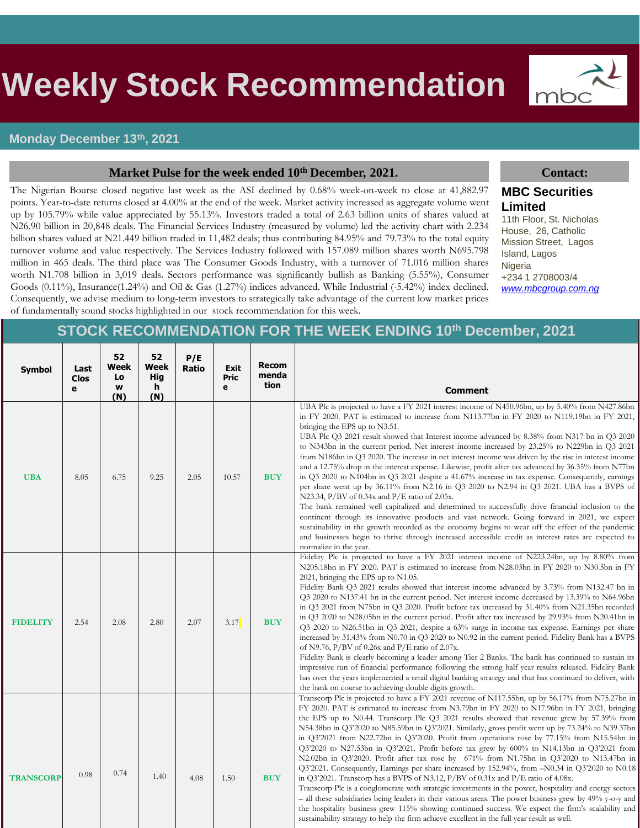# s **Weekly Stock Recommendation**

#### **Monday December 13th, 2021**

#### **Market Pulse for the week ended 10th December, 2021. Contact:**

The Nigerian Bourse closed negative last week as the ASI declined by 0.68% week-on-week to close at 41,882.97 points. Year-to-date returns closed at 4.00% at the end of the week. Market activity increased as aggregate volume went up by 105.79% while value appreciated by 55.13%. Investors traded a total of 2.63 billion units of shares valued at N26.90 billion in 20,848 deals. The Financial Services Industry (measured by volume) led the activity chart with 2.234 billion shares valued at N21.449 billion traded in 11,482 deals; thus contributing 84.95% and 79.73% to the total equity turnover volume and value respectively. The Services Industry followed with 157.089 million shares worth N695.798 million in 465 deals. The third place was The Consumer Goods Industry, with a turnover of 71.016 million shares worth N1.708 billion in 3,019 deals. Sectors performance was significantly bullish as Banking (5.55%), Consumer Goods (0.11%), Insurance(1.24%) and Oil & Gas (1.27%) indices advanced. While Industrial (-5.42%) index declined. Consequently, we advise medium to long-term investors to strategically take advantage of the current low market prices of fundamentally sound stocks highlighted in our stock recommendation for this week.

# mbc

### **MBC Securities Limited**

11th Floor, St. Nicholas House, 26, Catholic Mission Street, Lagos Island, Lagos Nigeria +234 1 2708003/4 *[www.mbcgroup.com.ng](http://www.mbcgroup.com.ng/)*

## **STOCK RECOMMENDATION FOR THE WEEK ENDING 10th December, 2021**

| <b>Symbol</b>    | Last<br><b>Clos</b><br>e | 52<br>Week<br>Lo<br>w<br>(N) | 52<br>Week<br><b>Hig</b><br>h<br>(N) | P/E<br>Ratio | Exit<br>Pric<br>е | <b>Recom</b><br>menda<br>tion | <b>Comment</b>                                                                                                                                                                                                                                                                                                                                                                                                                                                                                                                                                                                                                                                                                                                                                                                                                                                                                                                                                                                                                                                                                                                                                                                                                                                                                                                                    |
|------------------|--------------------------|------------------------------|--------------------------------------|--------------|-------------------|-------------------------------|---------------------------------------------------------------------------------------------------------------------------------------------------------------------------------------------------------------------------------------------------------------------------------------------------------------------------------------------------------------------------------------------------------------------------------------------------------------------------------------------------------------------------------------------------------------------------------------------------------------------------------------------------------------------------------------------------------------------------------------------------------------------------------------------------------------------------------------------------------------------------------------------------------------------------------------------------------------------------------------------------------------------------------------------------------------------------------------------------------------------------------------------------------------------------------------------------------------------------------------------------------------------------------------------------------------------------------------------------|
| <b>UBA</b>       | 8.05                     | 6.75                         | 9.25                                 | 2.05         | 10.57             | <b>BUY</b>                    | UBA Plc is projected to have a FY 2021 interest income of N450.96bn, up by 5.40% from N427.86bn<br>in FY 2020. PAT is estimated to increase from N113.77bn in FY 2020 to N119.19bn in FY 2021,<br>bringing the EPS up to N3.51.<br>UBA Plc Q3 2021 result showed that Interest income advanced by 8.38% from N317 bn in Q3 2020<br>to N343bn in the current period. Net interest income increased by 23.25% to N229bn in Q3 2021<br>from N186bn in Q3 2020. The increase in net interest income was driven by the rise in interest income<br>and a 12.75% drop in the interest expense. Likewise, profit after tax advanced by 36.35% from N77bn<br>in Q3 2020 to N104bn in Q3 2021 despite a 41.67% increase in tax expense. Consequently, earnings<br>per share went up by 36.11% from N2.16 in Q3 2020 to N2.94 in Q3 2021. UBA has a BVPS of<br>N23.34, P/BV of $0.34x$ and P/E ratio of 2.05x.<br>The bank remained well capitalized and determined to successfully drive financial inclusion to the<br>continent through its innovative products and vast network. Going forward in 2021, we expect<br>sustainability in the growth recorded as the economy begins to wear off the effect of the pandemic<br>and businesses begin to thrive through increased accessible credit as interest rates are expected to<br>normalize in the year. |
| <b>FIDELITY</b>  | 2.54                     | 2.08                         | 2.80                                 | 2.07         | 3.17              | <b>BUY</b>                    | Fidelity Plc is projected to have a FY 2021 interest income of N223.24bn, up by 8.80% from<br>N205.18bn in FY 2020. PAT is estimated to increase from N28.03bn in FY 2020 to N30.5bn in FY<br>2021, bringing the EPS up to N1.05.<br>Fidelity Bank Q3 2021 results showed that interest income advanced by 3.73% from N132.47 bn in<br>Q3 2020 to N137.41 bn in the current period. Net interest income decreased by 13.39% to N64.96bn<br>in Q3 2021 from N75bn in Q3 2020. Profit before tax increased by 31.40% from N21.35bn recorded<br>in Q3 2020 to N28.05bn in the current period. Profit after tax increased by 29.93% from N20.41bn in<br>Q3 2020 to N26.51bn in Q3 2021, despite a 63% surge in income tax expense. Earnings per share<br>increased by 31.43% from N0.70 in Q3 2020 to N0.92 in the current period. Fidelity Bank has a BVPS<br>of N9.76, P/BV of 0.26x and P/E ratio of 2.07x.<br>Fidelity Bank is clearly becoming a leader among Tier 2 Banks. The bank has continued to sustain its<br>impressive run of financial performance following the strong half year results released. Fidelity Bank<br>has over the years implemented a retail digital banking strategy and that has continued to deliver, with<br>the bank on course to achieving double digits growth.                                                 |
| <b>TRANSCORP</b> | 0.98                     | 0.74                         | 1.40                                 | 4.08         | 1.50              | <b>BUY</b>                    | Transcorp Plc is projected to have a FY 2021 revenue of N117.55bn, up by 56.17% from N75.27bn in<br>FY 2020. PAT is estimated to increase from N3.79bn in FY 2020 to N17.96bn in FY 2021, bringing<br>the EPS up to N0.44. Transcorp Plc Q3 2021 results showed that revenue grew by 57.39% from<br>N54.38bn in Q3'2020 to N85.59bn in Q3'2021. Similarly, gross profit went up by 73.24% to N39.37bn<br>in Q3'2021 from N22.72bn in Q3'2020. Profit from operations rose by 77.15% from N15.54bn in<br>Q3'2020 to N27.53bn in Q3'2021. Profit before tax grew by 600% to N14.13bn in Q3'2021 from<br>N2.02bn in Q3'2020. Profit after tax rose by 671% from N1.75bn in Q3'2020 to N13.47bn in<br>Q3'2021. Consequently, Earnings per share increased by 152.94%, from -N0.34 in Q3'2020 to N0.18<br>in Q3'2021. Transcorp has a BVPS of N3.12, $P/BV$ of 0.31x and $P/E$ ratio of 4.08x.<br>Transcorp Plc is a conglomerate with strategic investments in the power, hospitality and energy sectors<br>- all these subsidiaries being leaders in their various areas. The power business grew by 49% y-o-y and<br>the hospitality business grew 115% showing continued success. We expect the firm's scalability and<br>sustainability strategy to help the firm achieve excellent in the full year result as well.                              |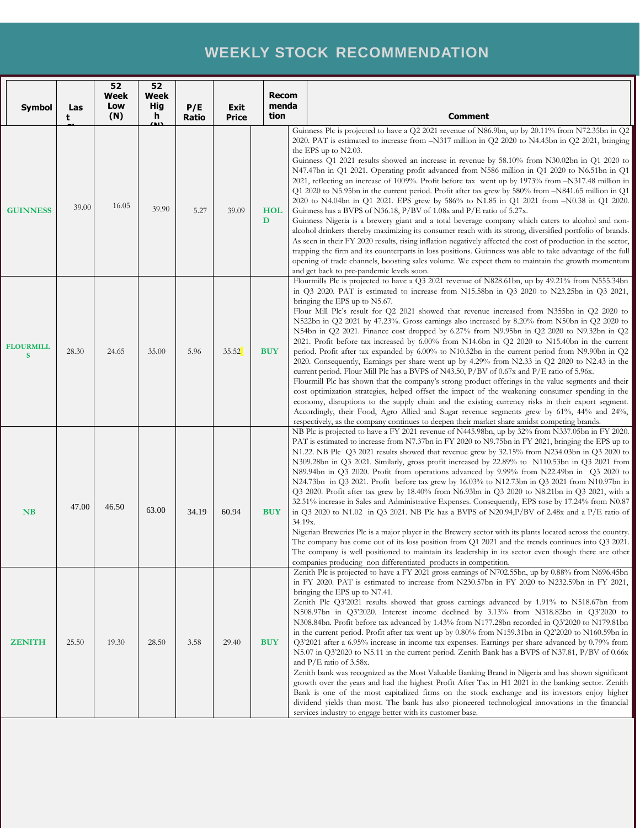# **WEEKLY STOCK RECOMMENDATION**

| <b>Symbol</b>         | Las<br>t | 52<br>Week<br>Low<br>(N) | 52<br>Week<br>Hig<br>h.<br><u>/ 11)</u> | P/E<br>Ratio | Exit<br><b>Price</b> | <b>Recom</b><br>menda<br>tion |         | <b>Comment</b>                                                                                                                                                                                                                                                                                                                                                                                                                                                                                                                                                                                                                                                                                                                                                                                                                                                                                                                                                                                                                                                                                                                                                                                                                                                                                                                                                                                                                                 |
|-----------------------|----------|--------------------------|-----------------------------------------|--------------|----------------------|-------------------------------|---------|------------------------------------------------------------------------------------------------------------------------------------------------------------------------------------------------------------------------------------------------------------------------------------------------------------------------------------------------------------------------------------------------------------------------------------------------------------------------------------------------------------------------------------------------------------------------------------------------------------------------------------------------------------------------------------------------------------------------------------------------------------------------------------------------------------------------------------------------------------------------------------------------------------------------------------------------------------------------------------------------------------------------------------------------------------------------------------------------------------------------------------------------------------------------------------------------------------------------------------------------------------------------------------------------------------------------------------------------------------------------------------------------------------------------------------------------|
| <b>GUINNESS</b>       | 39.00    | 16.05                    | 39.90                                   | 5.27         | 39.09                | <b>HOL</b><br>D               |         | Guinness Plc is projected to have a Q2 2021 revenue of N86.9bn, up by 20.11% from N72.35bn in Q2<br>2020. PAT is estimated to increase from -N317 million in Q2 2020 to N4.45bn in Q2 2021, bringing<br>the EPS up to $N2.03$ .<br>Guinness Q1 2021 results showed an increase in revenue by 58.10% from N30.02bn in Q1 2020 to<br>N47.47bn in Q1 2021. Operating profit advanced from N586 million in Q1 2020 to N6.51bn in Q1<br>2021, reflecting an increase of 1009%. Profit before tax went up by 1973% from -N317.48 million in<br>Q1 2020 to N5.95bn in the current period. Profit after tax grew by 580% from -N841.65 million in Q1<br>2020 to N4.04bn in Q1 2021. EPS grew by 586% to N1.85 in Q1 2021 from -N0.38 in Q1 2020.<br>Guinness has a BVPS of N36.18, P/BV of 1.08x and P/E ratio of 5.27x.<br>Guinness Nigeria is a brewery giant and a total beverage company which caters to alcohol and non-<br>alcohol drinkers thereby maximizing its consumer reach with its strong, diversified portfolio of brands.<br>As seen in their FY 2020 results, rising inflation negatively affected the cost of production in the sector,<br>trapping the firm and its counterparts in loss positions. Guinness was able to take advantage of the full<br>opening of trade channels, boosting sales volume. We expect them to maintain the growth momentum<br>and get back to pre-pandemic levels soon.                                |
| <b>FLOURMILL</b><br>S | 28.30    | 24.65                    | 35.00                                   | 5.96         | 35.52                | <b>BUY</b>                    |         | Flourmills Plc is projected to have a Q3 2021 revenue of N828.61bn, up by 49.21% from N555.34bn<br>in $Q3$ 2020. PAT is estimated to increase from N15.58bn in $Q3$ 2020 to N23.25bn in $Q3$ 2021,<br>bringing the EPS up to N5.67.<br>Flour Mill Plc's result for Q2 2021 showed that revenue increased from N355bn in Q2 2020 to<br>N522bn in Q2 2021 by 47.23%. Gross earnings also increased by 8.20% from N50bn in Q2 2020 to<br>N54bn in Q2 2021. Finance cost dropped by 6.27% from N9.95bn in Q2 2020 to N9.32bn in Q2<br>2021. Profit before tax increased by 6.00% from N14.6bn in Q2 2020 to N15.40bn in the current<br>period. Profit after tax expanded by 6.00% to N10.52bn in the current period from N9.90bn in Q2<br>2020. Consequently, Earnings per share went up by 4.29% from N2.33 in Q2 2020 to N2.43 in the<br>current period. Flour Mill Plc has a BVPS of N43.50, P/BV of 0.67x and P/E ratio of 5.96x.<br>Flourmill Plc has shown that the company's strong product offerings in the value segments and their<br>cost optimization strategies, helped offset the impact of the weakening consumer spending in the<br>economy, disruptions to the supply chain and the existing currency risks in their export segment.<br>Accordingly, their Food, Agro Allied and Sugar revenue segments grew by 61%, 44% and 24%,<br>respectively, as the company continues to deepen their market share amidst competing brands. |
| <b>NB</b>             | 47.00    | 46.50                    | 63.00                                   | 34.19        | 60.94                | <b>BUY</b>                    | 34.19x. | NB Plc is projected to have a FY 2021 revenue of N445.98bn, up by 32% from N337.05bn in FY 2020.<br>PAT is estimated to increase from N7.37bn in FY 2020 to N9.75bn in FY 2021, bringing the EPS up to<br>N1.22. NB Plc $Q3 2021$ results showed that revenue grew by $32.15\%$ from N234.03bn in Q3 2020 to<br>N309.28bn in Q3 2021. Similarly, gross profit increased by 22.89% to N110.53bn in Q3 2021 from<br>N89.94bn in Q3 2020. Profit from operations advanced by 9.99% from N22.49bn in Q3 2020 to<br>N24.73bn in Q3 2021. Profit before tax grew by 16.03% to N12.73bn in Q3 2021 from N10.97bn in<br>Q3 2020. Profit after tax grew by 18.40% from N6.93bn in Q3 2020 to N8.21bn in Q3 2021, with a<br>32.51% increase in Sales and Administrative Expenses. Consequently, EPS rose by 17.24% from N0.87<br>in Q3 2020 to N1.02 in Q3 2021. NB Plc has a BVPS of N20.94, P/BV of 2.48x and a P/E ratio of<br>Nigerian Breweries Plc is a major player in the Brewery sector with its plants located across the country.<br>The company has come out of its loss position from $Q1$ 2021 and the trends continues into $Q3$ 2021.<br>The company is well positioned to maintain its leadership in its sector even though there are other<br>companies producing non differentiated products in competition.                                                                                                                          |
| <b>ZENITH</b>         | 25.50    | 19.30                    | 28.50                                   | 3.58         | 29.40                | <b>BUY</b>                    |         | Zenith Plc is projected to have a FY 2021 gross earnings of N702.55bn, up by 0.88% from N696.45bn<br>in FY 2020. PAT is estimated to increase from N230.57bn in FY 2020 to N232.59bn in FY 2021,<br>bringing the EPS up to N7.41.<br>Zenith Plc Q3'2021 results showed that gross earnings advanced by 1.91% to N518.67bn from<br>N508.97bn in Q3'2020. Interest income declined by 3.13% from N318.82bn in Q3'2020 to<br>N308.84bn. Profit before tax advanced by 1.43% from N177.28bn recorded in Q3'2020 to N179.81bn<br>in the current period. Profit after tax went up by 0.80% from N159.31bn in Q2'2020 to N160.59bn in<br>Q3'2021 after a 6.95% increase in income tax expenses. Earnings per share advanced by 0.79% from<br>N5.07 in Q3'2020 to N5.11 in the current period. Zenith Bank has a BVPS of N37.81, P/BV of 0.66x<br>and P/E ratio of 3.58x.<br>Zenith bank was recognized as the Most Valuable Banking Brand in Nigeria and has shown significant<br>growth over the years and had the highest Profit After Tax in H1 2021 in the banking sector. Zenith<br>Bank is one of the most capitalized firms on the stock exchange and its investors enjoy higher<br>dividend yields than most. The bank has also pioneered technological innovations in the financial<br>services industry to engage better with its customer base.                                                                                            |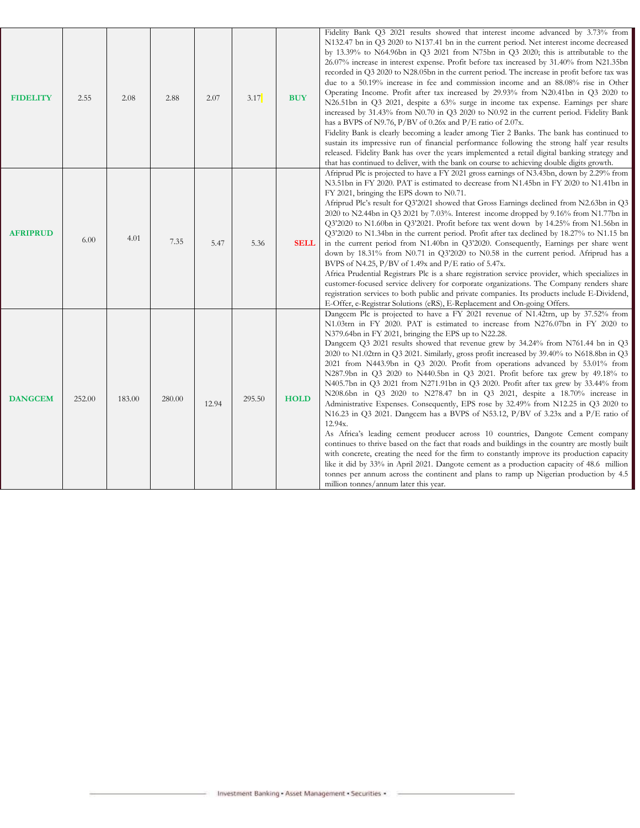| <b>FIDELITY</b> | 2.55   | 2.08   | 2.88   | 2.07  | 3.17   | <b>BUY</b>  | Fidelity Bank Q3 2021 results showed that interest income advanced by 3.73% from<br>N132.47 bn in Q3 2020 to N137.41 bn in the current period. Net interest income decreased<br>by 13.39% to N64.96bn in Q3 2021 from N75bn in Q3 2020; this is attributable to the<br>26.07% increase in interest expense. Profit before tax increased by 31.40% from N21.35bn<br>recorded in Q3 2020 to N28.05bn in the current period. The increase in profit before tax was<br>due to a 50.19% increase in fee and commission income and an 88.08% rise in Other<br>Operating Income. Profit after tax increased by 29.93% from N20.41bn in Q3 2020 to<br>N26.51bn in Q3 2021, despite a 63% surge in income tax expense. Earnings per share<br>increased by 31.43% from N0.70 in Q3 2020 to N0.92 in the current period. Fidelity Bank<br>has a BVPS of N9.76, P/BV of 0.26x and P/E ratio of 2.07x.<br>Fidelity Bank is clearly becoming a leader among Tier 2 Banks. The bank has continued to<br>sustain its impressive run of financial performance following the strong half year results<br>released. Fidelity Bank has over the years implemented a retail digital banking strategy and<br>that has continued to deliver, with the bank on course to achieving double digits growth.                                                                                                                                                                                     |
|-----------------|--------|--------|--------|-------|--------|-------------|----------------------------------------------------------------------------------------------------------------------------------------------------------------------------------------------------------------------------------------------------------------------------------------------------------------------------------------------------------------------------------------------------------------------------------------------------------------------------------------------------------------------------------------------------------------------------------------------------------------------------------------------------------------------------------------------------------------------------------------------------------------------------------------------------------------------------------------------------------------------------------------------------------------------------------------------------------------------------------------------------------------------------------------------------------------------------------------------------------------------------------------------------------------------------------------------------------------------------------------------------------------------------------------------------------------------------------------------------------------------------------------------------------------------------------------------------------------------|
| <b>AFRIPRUD</b> | 6.00   | 4.01   | 7.35   | 5.47  | 5.36   | <b>SELL</b> | Afriprud Plc is projected to have a FY 2021 gross earnings of N3.43bn, down by 2.29% from<br>N3.51bn in FY 2020. PAT is estimated to decrease from N1.45bn in FY 2020 to N1.41bn in<br>FY 2021, bringing the EPS down to N0.71.<br>Afriprud Plc's result for Q3'2021 showed that Gross Earnings declined from N2.63bn in Q3<br>2020 to N2.44bn in Q3 2021 by 7.03%. Interest income dropped by 9.16% from N1.77bn in<br>Q3'2020 to N1.60bn in Q3'2021. Profit before tax went down by 14.25% from N1.56bn in<br>Q3'2020 to N1.34bn in the current period. Profit after tax declined by 18.27% to N1.15 bn<br>in the current period from N1.40bn in Q3'2020. Consequently, Earnings per share went<br>down by 18.31% from N0.71 in Q3'2020 to N0.58 in the current period. Afriprud has a<br>BVPS of N4.25, $P/BV$ of 1.49x and $P/E$ ratio of 5.47x.<br>Africa Prudential Registrars Plc is a share registration service provider, which specializes in<br>customer-focused service delivery for corporate organizations. The Company renders share<br>registration services to both public and private companies. Its products include E-Dividend,<br>E-Offer, e-Registrar Solutions (eRS), E-Replacement and On-going Offers.                                                                                                                                                                                                                                      |
| <b>DANGCEM</b>  | 252.00 | 183.00 | 280.00 | 12.94 | 295.50 | <b>HOLD</b> | Dangcem Plc is projected to have a FY 2021 revenue of N1.42trn, up by 37.52% from<br>N1.03trn in FY 2020. PAT is estimated to increase from N276.07bn in FY 2020 to<br>N379.64bn in FY 2021, bringing the EPS up to N22.28.<br>Dangcem Q3 2021 results showed that revenue grew by 34.24% from N761.44 bn in Q3<br>2020 to N1.02trn in Q3 2021. Similarly, gross profit increased by 39.40% to N618.8bn in Q3<br>2021 from N443.9bn in Q3 2020. Profit from operations advanced by 53.01% from<br>N287.9bn in Q3 2020 to N440.5bn in Q3 2021. Profit before tax grew by 49.18% to<br>N405.7bn in Q3 2021 from N271.91bn in Q3 2020. Profit after tax grew by 33.44% from<br>N208.6bn in Q3 2020 to N278.47 bn in Q3 2021, despite a 18.70% increase in<br>Administrative Expenses. Consequently, EPS rose by 32.49% from N12.25 in Q3 2020 to<br>N16.23 in Q3 2021. Dangcem has a BVPS of N53.12, $P/BV$ of 3.23x and a $P/E$ ratio of<br>12.94x.<br>As Africa's leading cement producer across 10 countries, Dangote Cement company<br>continues to thrive based on the fact that roads and buildings in the country are mostly built<br>with concrete, creating the need for the firm to constantly improve its production capacity<br>like it did by 33% in April 2021. Dangote cement as a production capacity of 48.6 million<br>tonnes per annum across the continent and plans to ramp up Nigerian production by 4.5<br>million tonnes/annum later this year. |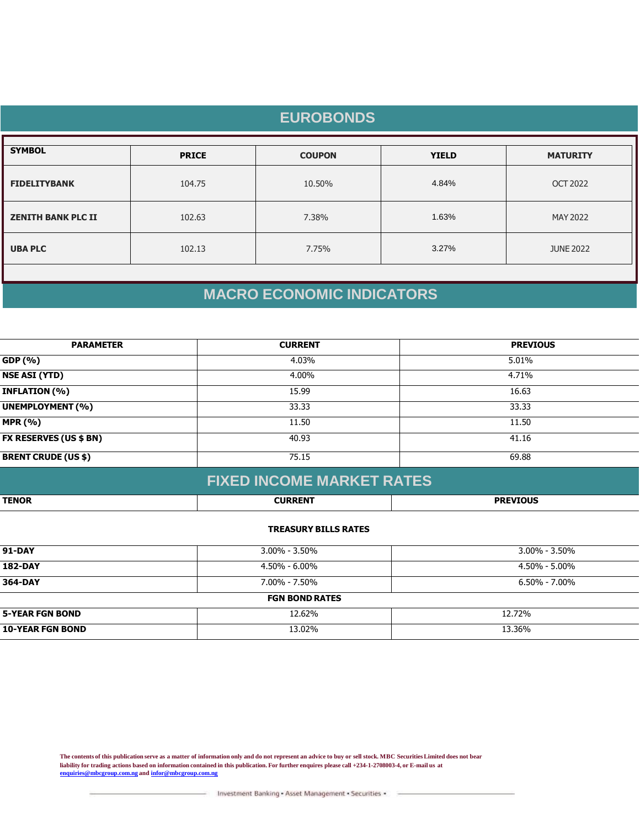|                           |              | <b>EUROBONDS</b> |              |                  |
|---------------------------|--------------|------------------|--------------|------------------|
| <b>SYMBOL</b>             | <b>PRICE</b> | <b>COUPON</b>    | <b>YIELD</b> | <b>MATURITY</b>  |
| <b>FIDELITYBANK</b>       | 104.75       | 10.50%           | 4.84%        | <b>OCT 2022</b>  |
| <b>ZENITH BANK PLC II</b> | 102.63       | 7.38%            | 1.63%        | MAY 2022         |
| <b>UBA PLC</b>            | 102.13       | 7.75%            | 3.27%        | <b>JUNE 2022</b> |
|                           |              |                  |              |                  |

# **MACRO ECONOMIC INDICATORS**

| <b>PARAMETER</b>              | <b>CURRENT</b> | <b>PREVIOUS</b> |
|-------------------------------|----------------|-----------------|
| GDP (%)                       | 4.03%          | 5.01%           |
| <b>NSE ASI (YTD)</b>          | 4.00%          | 4.71%           |
| <b>INFLATION (%)</b>          | 15.99          | 16.63           |
| <b>UNEMPLOYMENT (%)</b>       | 33.33          | 33.33           |
| <b>MPR (%)</b>                | 11.50          | 11.50           |
| <b>FX RESERVES (US \$ BN)</b> | 40.93          | 41.16           |
| <b>BRENT CRUDE (US \$)</b>    | 75.15          | 69.88           |
|                               |                |                 |

|              | <b>FIXED INCOME MARKET RATES</b> |                 |
|--------------|----------------------------------|-----------------|
| <b>TENOR</b> | <b>CURRENT</b>                   | <b>PREVIOUS</b> |

#### **TREASURY BILLS RATES**

| <b>91-DAY</b>           | $3.00\% - 3.50\%$     | $3.00\%$ - 3.50%  |
|-------------------------|-----------------------|-------------------|
| <b>182-DAY</b>          | 4.50% - 6.00%         | 4.50% - 5.00%     |
| 364-DAY                 | $7.00\% - 7.50\%$     | $6.50\% - 7.00\%$ |
|                         | <b>FGN BOND RATES</b> |                   |
| <b>5-YEAR FGN BOND</b>  | 12.62%                | 12.72%            |
| <b>10-YEAR FGN BOND</b> | 13.02%                | 13.36%            |

**The contents of this publication serve as a matter of information only and do not represent an advice to buy or sell stock. MBC Securities Limited does not bear liability for trading actions based on information contained in this publication. For further enquires please call +234-1-2708003-4, or E-mail us at [enquiries@mbcgroup.com.ng](mailto:enquiries@mbcgroup.com.ng) and [infor@mbcgroup.com.ng](mailto:infor@mbcgroup.com.ng)**

Investment Banking - Asset Management - Securities -